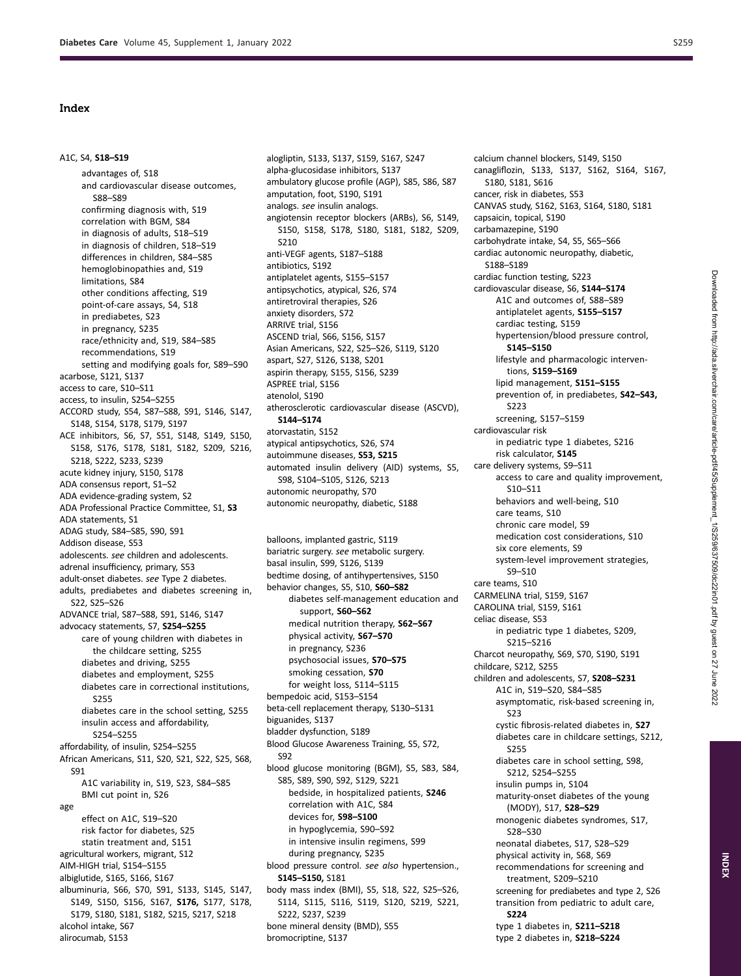## Index

## A1C, S4, **S18–S19**

advantages of, S18 and cardiovascular disease outcomes, S88–S89 confirming diagnosis with, S19 correlation with BGM, S84 in diagnosis of adults, S18–S19 in diagnosis of children, S18–S19 differences in children, S84–S85 hemoglobinopathies and, S19 limitations, S84 other conditions affecting, S19 point-of-care assays, S4, S18 in prediabetes, S23 in pregnancy, S235 race/ethnicity and, S19, S84–S85 recommendations, S19 setting and modifying goals for, S89–S90 acarbose, S121, S137 access to care, S10–S11 access, to insulin, S254–S255 ACCORD study, S54, S87–S88, S91, S146, S147, S148, S154, S178, S179, S197 ACE inhibitors, S6, S7, S51, S148, S149, S150, S158, S176, S178, S181, S182, S209, S216, S218, S222, S233, S239 acute kidney injury, S150, S178 ADA consensus report, S1–S2 ADA evidence-grading system, S2 ADA Professional Practice Committee, S1, **S3**  ADA statements, S1 ADAG study, S84–S85, S90, S91 Addison disease, S53 adolescents. *see* children and adolescents. adrenal insufficiency, primary, S53 adult-onset diabetes. *see* Type 2 diabetes. adults, prediabetes and diabetes screening in, S22, S25–S26 ADVANCE trial, S87–S88, S91, S146, S147 advocacy statements, S7, **S254–S255**  care of young children with diabetes in the childcare setting, S255 diabetes and driving, S255 diabetes and employment, S255 diabetes care in correctional institutions, S255 diabetes care in the school setting, S255 insulin access and affordability, S254–S255 affordability, of insulin, S254–S255 African Americans, S11, S20, S21, S22, S25, S68, S91 A1C variability in, S19, S23, S84–S85 BMI cut point in, S26 age effect on A1C, S19–S20 risk factor for diabetes, S25 statin treatment and, S151 agricultural workers, migrant, S12 AIM-HIGH trial, S154–S155 albiglutide, S165, S166, S167 albuminuria, S66, S70, S91, S133, S145, S147, S149, S150, S156, S167, **S176,** S177, S178, S179, S180, S181, S182, S215, S217, S218 alcohol intake, S67 alirocumab, S153

alogliptin, S133, S137, S159, S167, S247 alpha-glucosidase inhibitors, S137 ambulatory glucose profile (AGP), S85, S86, S87 amputation, foot, S190, S191 analogs. *see* insulin analogs. angiotensin receptor blockers (ARBs), S6, S149, S150, S158, S178, S180, S181, S182, S209, S210 anti-VEGF agents, S187–S188 antibiotics, S192 antiplatelet agents, S155–S157 antipsychotics, atypical, S26, S74 antiretroviral therapies, S26 anxiety disorders, S72 ARRIVE trial, S156 ASCEND trial, S66, S156, S157 Asian Americans, S22, S25–S26, S119, S120 aspart, S27, S126, S138, S201 aspirin therapy, S155, S156, S239 ASPREE trial, S156 atenolol, S190 atherosclerotic cardiovascular disease (ASCVD), **S144–S174**  atorvastatin, S152 atypical antipsychotics, S26, S74 autoimmune diseases, **S53, S215**  automated insulin delivery (AID) systems, S5, S98, S104–S105, S126, S213 autonomic neuropathy, S70 autonomic neuropathy, diabetic, S188

balloons, implanted gastric, S119 bariatric surgery. *see* metabolic surgery. basal insulin, S99, S126, S139 bedtime dosing, of antihypertensives, S150 behavior changes, S5, S10, **S60–S82**  diabetes self-management education and support, **S60–S62**  medical nutrition therapy, **S62–S67**  physical activity, **S67–S70**  in pregnancy, S236 psychosocial issues, **S70–S75**  smoking cessation, **S70**  for weight loss, S114–S115 bempedoic acid, S153–S154 beta-cell replacement therapy, S130–S131 biguanides, S137 bladder dysfunction, S189 Blood Glucose Awareness Training, S5, S72, S92 blood glucose monitoring (BGM), S5, S83, S84, S85, S89, S90, S92, S129, S221 bedside, in hospitalized patients, **S246**  correlation with A1C, S84 devices for, **S98–S100**  in hypoglycemia, S90–S92 in intensive insulin regimens, S99 during pregnancy, S235 blood pressure control. *see also* hypertension., **S145–S150,** S181 body mass index (BMI), S5, S18, S22, S25–S26, S114, S115, S116, S119, S120, S219, S221, S222, S237, S239 bone mineral density (BMD), S55 bromocriptine, S137

calcium channel blockers, S149, S150 canagliflozin, S133, S137, S162, S164, S167, S180, S181, S616 cancer, risk in diabetes, S53 CANVAS study, S162, S163, S164, S180, S181 capsaicin, topical, S190 carbamazepine, S190 carbohydrate intake, S4, S5, S65–S66 cardiac autonomic neuropathy, diabetic, S188–S189 cardiac function testing, S223 cardiovascular disease, S6, **S144–S174**  A1C and outcomes of, S88–S89 antiplatelet agents, **S155–S157**  cardiac testing, S159 hypertension/blood pressure control, **S145–S150**  lifestyle and pharmacologic interventions, **S159–S169**  lipid management, **S151–S155**  prevention of, in prediabetes, **S42–S43,**  S223 screening, S157–S159 cardiovascular risk in pediatric type 1 diabetes, S216 risk calculator, **S145**  care delivery systems, S9–S11 access to care and quality improvement, S10–S11 behaviors and well-being, S10 care teams, S10 chronic care model, S9 medication cost considerations, S10 six core elements, S9 system-level improvement strategies, S9–S10 care teams, S10 CARMELINA trial, S159, S167 CAROLINA trial, S159, S161 celiac disease, S53 in pediatric type 1 diabetes, S209, S215–S216 Charcot neuropathy, S69, S70, S190, S191 childcare, S212, S255 children and adolescents, S7, **S208–S231**  A1C in, S19–S20, S84–S85 asymptomatic, risk-based screening in, S23 cystic fibrosis-related diabetes in, **S27**  diabetes care in childcare settings, S212, S255 diabetes care in school setting, S98, S212, S254–S255 insulin pumps in, S104 maturity-onset diabetes of the young (MODY), S17, **S28–S29**  monogenic diabetes syndromes, S17, S28–S30 neonatal diabetes, S17, S28–S29 physical activity in, S68, S69 recommendations for screening and treatment, S209–S210 screening for prediabetes and type 2, S26 transition from pediatric to adult care, **S224**  type 1 diabetes in, **S211–S218**  type 2 diabetes in, **S218–S224** 

**INDEX**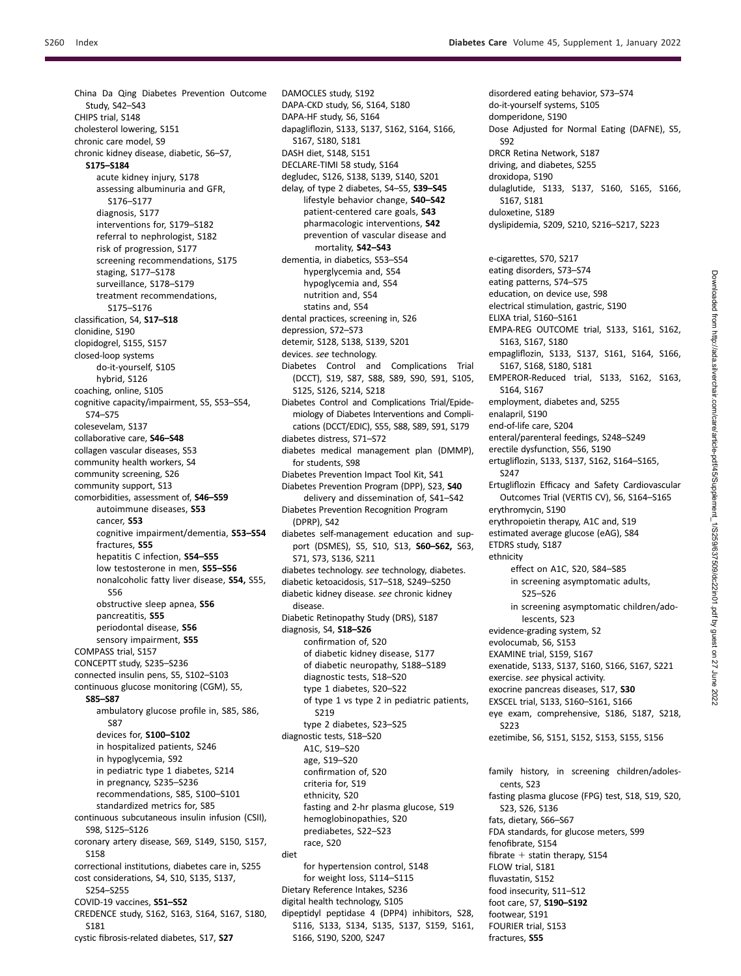disordered eating behavior, S73–S74 do-it-yourself systems, S105 domperidone, S190

DRCR Retina Network, S187 driving, and diabetes, S255 droxidopa, S190

S92

Dose Adjusted for Normal Eating (DAFNE), S5,

China Da Qing Diabetes Prevention Outcome Study, S42–S43 CHIPS trial, S148 cholesterol lowering, S151 chronic care model, S9 chronic kidney disease, diabetic, S6–S7, **S175–S184**  acute kidney injury, S178 assessing albuminuria and GFR, S176–S177 diagnosis, S177 interventions for, S179–S182 referral to nephrologist, S182 risk of progression, S177 screening recommendations, S175 staging, S177–S178 surveillance, S178–S179 treatment recommendations, S175–S176 classification, S4, **S17–S18**  clonidine, S190 clopidogrel, S155, S157 closed-loop systems do-it-yourself, S105 hybrid, S126 coaching, online, S105 cognitive capacity/impairment, S5, S53–S54, S74–S75 colesevelam, S137 collaborative care, **S46–S48**  collagen vascular diseases, S53 community health workers, S4 community screening, S26 community support, S13 comorbidities, assessment of, **S46–S59**  autoimmune diseases, **S53**  cancer, **S53**  cognitive impairment/dementia, **S53–S54**  fractures, **S55**  hepatitis C infection, **S54–S55**  low testosterone in men, **S55–S56**  nonalcoholic fatty liver disease, **S54,** S55, S56 obstructive sleep apnea, **S56**  pancreatitis, **S55**  periodontal disease, **S56**  sensory impairment, **S55**  COMPASS trial, S157 CONCEPTT study, S235–S236 connected insulin pens, S5, S102–S103 continuous glucose monitoring (CGM), S5, **S85–S87**  ambulatory glucose profile in, S85, S86, S87 devices for, **S100–S102**  in hospitalized patients, S246 in hypoglycemia, S92 in pediatric type 1 diabetes, S214 in pregnancy, S235–S236 recommendations, S85, S100–S101 standardized metrics for, S85 continuous subcutaneous insulin infusion (CSII), S98, S125–S126 coronary artery disease, S69, S149, S150, S157, S158 correctional institutions, diabetes care in, S255 cost considerations, S4, S10, S135, S137, S254–S255 COVID-19 vaccines, **S51–S52**  CREDENCE study, S162, S163, S164, S167, S180, S181 cystic fibrosis-related diabetes, S17, **S27** 

DAMOCLES study, S192 DAPA-CKD study, S6, S164, S180 DAPA-HF study, S6, S164 dapagliflozin, S133, S137, S162, S164, S166, S167, S180, S181 DASH diet, S148, S151 DECLARE-TIMI 58 study, S164 degludec, S126, S138, S139, S140, S201 delay, of type 2 diabetes, S4–S5, **S39–S45**  lifestyle behavior change, **S40–S42**  patient-centered care goals, **S43**  pharmacologic interventions, **S42**  prevention of vascular disease and mortality, **S42–S43**  dementia, in diabetics, S53–S54 hyperglycemia and, S54 hypoglycemia and, S54 nutrition and, S54 statins and, S54 dental practices, screening in, S26 depression, S72–S73 detemir, S128, S138, S139, S201 devices. *see* technology. Diabetes Control and Complications Trial (DCCT), S19, S87, S88, S89, S90, S91, S105, S125, S126, S214, S218 Diabetes Control and Complications Trial/Epidemiology of Diabetes Interventions and Complications (DCCT/EDIC), S55, S88, S89, S91, S179 diabetes distress, S71–S72 diabetes medical management plan (DMMP), for students, S98 Diabetes Prevention Impact Tool Kit, S41 Diabetes Prevention Program (DPP), S23, **S40**  delivery and dissemination of, S41–S42 Diabetes Prevention Recognition Program (DPRP), S42 diabetes self-management education and support (DSMES), S5, S10, S13, **S60–S62,** S63, S71, S73, S136, S211 diabetes technology. *see* technology, diabetes. diabetic ketoacidosis, S17–S18, S249–S250 diabetic kidney disease. *see* chronic kidney disease. Diabetic Retinopathy Study (DRS), S187 diagnosis, S4, **S18–S26**  confirmation of, S20 of diabetic kidney disease, S177 of diabetic neuropathy, S188–S189 diagnostic tests, S18–S20 type 1 diabetes, S20–S22 of type 1 vs type 2 in pediatric patients, S219 type 2 diabetes, S23–S25 diagnostic tests, S18–S20 A1C, S19–S20 age, S19–S20 confirmation of, S20 criteria for, S19 ethnicity, S20 fasting and 2-hr plasma glucose, S19 hemoglobinopathies, S20 prediabetes, S22–S23 race, S20 diet for hypertension control, S148 for weight loss, S114–S115 Dietary Reference Intakes, S236 digital health technology, S105 dipeptidyl peptidase 4 (DPP4) inhibitors, S28, S116, S133, S134, S135, S137, S159, S161, S166, S190, S200, S247

dulaglutide, S133, S137, S160, S165, S166, S167, S181 duloxetine, S189 dyslipidemia, S209, S210, S216–S217, S223 e-cigarettes, S70, S217 eating disorders, S73–S74 eating patterns, S74–S75 education, on device use, S98 electrical stimulation, gastric, S190 ELIXA trial, S160–S161 EMPA-REG OUTCOME trial, S133, S161, S162, S163, S167, S180 empagliflozin, S133, S137, S161, S164, S166, S167, S168, S180, S181 EMPEROR-Reduced trial, S133, S162, S163, S164, S167 employment, diabetes and, S255 enalapril, S190 end-of-life care, S204 enteral/parenteral feedings, S248–S249 erectile dysfunction, S56, S190 ertugliflozin, S133, S137, S162, S164–S165, S247 Ertugliflozin Efficacy and Safety Cardiovascular Outcomes Trial (VERTIS CV), S6, S164–S165 erythromycin, S190 erythropoietin therapy, A1C and, S19 estimated average glucose (eAG), S84 ETDRS study, S187 ethnicity effect on A1C, S20, S84–S85 in screening asymptomatic adults, S25–S26 in screening asymptomatic children/adolescents, S23 evidence-grading system, S2 evolocumab, S6, S153 EXAMINE trial, S159, S167 exenatide, S133, S137, S160, S166, S167, S221 exercise. *see* physical activity. exocrine pancreas diseases, S17, **S30**  EXSCEL trial, S133, S160–S161, S166 eye exam, comprehensive, S186, S187, S218, S223 ezetimibe, S6, S151, S152, S153, S155, S156 family history, in screening children/adolescents, S23 fasting plasma glucose (FPG) test, S18, S19, S20, S23, S26, S136 fats, dietary, S66–S67 FDA standards, for glucose meters, S99 fenofibrate, S154 fibrate  $+$  statin therapy, S154 FLOW trial, S181 fluvastatin, S152 food insecurity, S11–S12 foot care, S7, **S190–S192**  footwear, S191 FOURIER trial, S153 fractures, **S55**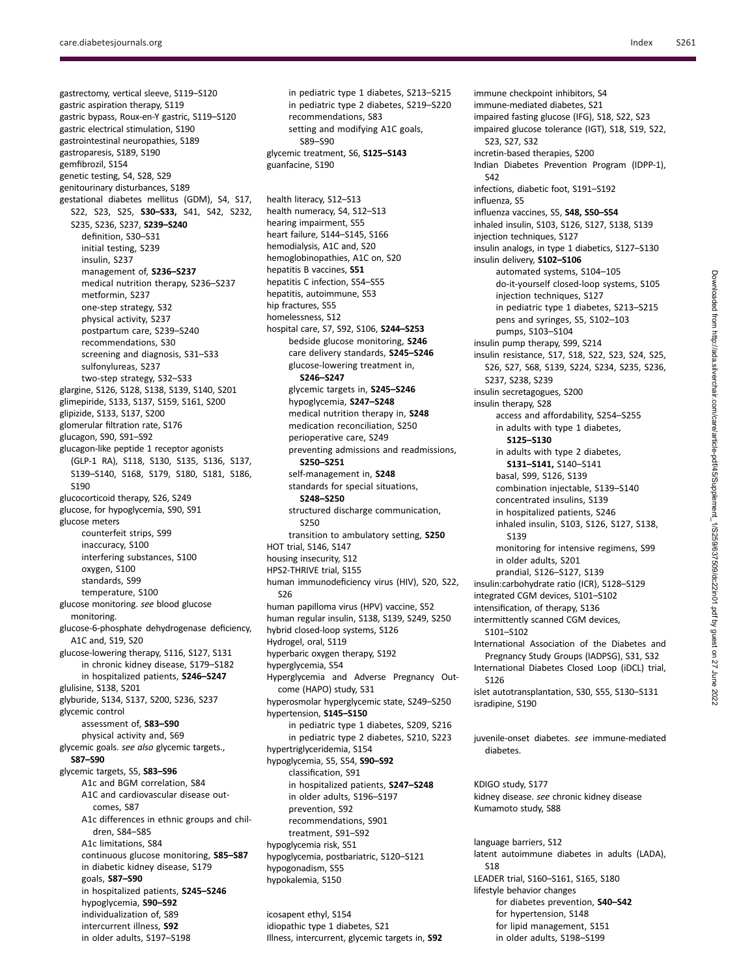gemfibrozil, S154

insulin, S237

S190

glucose meters

gastrectomy, vertical sleeve, S119–S120 gastric aspiration therapy, S119 gastric bypass, Roux-en-Y gastric, S119–S120 gastric electrical stimulation, S190 gastrointestinal neuropathies, S189 gastroparesis, S189, S190 genetic testing, S4, S28, S29 genitourinary disturbances, S189 gestational diabetes mellitus (GDM), S4, S17, S22, S23, S25, **S30–S33,** S41, S42, S232, S235, S236, S237, **S239–S240**  definition, S30–S31 initial testing, S239 management of, **S236–S237**  medical nutrition therapy, S236–S237 metformin, S237 one-step strategy, S32 physical activity, S237 postpartum care, S239–S240 recommendations, S30 screening and diagnosis, S31–S33 sulfonylureas, S237 two-step strategy, S32–S33 glargine, S126, S128, S138, S139, S140, S201 glimepiride, S133, S137, S159, S161, S200 glipizide, S133, S137, S200 glomerular filtration rate, S176 glucagon, S90, S91–S92 glucagon-like peptide 1 receptor agonists (GLP-1 RA), S118, S130, S135, S136, S137, S139–S140, S168, S179, S180, S181, S186, glucocorticoid therapy, S26, S249 glucose, for hypoglycemia, S90, S91 counterfeit strips, S99 inaccuracy, S100 S250

interfering substances, S100 oxygen, S100 standards, S99 temperature, S100 glucose monitoring. *see* blood glucose monitoring. glucose-6-phosphate dehydrogenase deficiency, A1C and, S19, S20 glucose-lowering therapy, S116, S127, S131 in chronic kidney disease, S179–S182 in hospitalized patients, **S246–S247**  glulisine, S138, S201 glyburide, S134, S137, S200, S236, S237 glycemic control assessment of, **S83–S90**  physical activity and, S69 glycemic goals. *see also* glycemic targets., **S87–S90**  glycemic targets, S5, **S83–S96**  A1c and BGM correlation, S84 A1C and cardiovascular disease outcomes, S87 A1c differences in ethnic groups and children, S84–S85 A1c limitations, S84 continuous glucose monitoring, **S85–S87**  in diabetic kidney disease, S179 goals, **S87–S90**  in hospitalized patients, **S245–S246**  hypoglycemia, **S90–S92**  individualization of, S89 intercurrent illness, **S92** 

in older adults, S197–S198

in pediatric type 1 diabetes, S213–S215 in pediatric type 2 diabetes, S219–S220 recommendations, S83 setting and modifying A1C goals, S89–S90 glycemic treatment, S6, **S125–S143**  guanfacine, S190

health literacy, S12–S13 health numeracy, S4, S12–S13 hearing impairment, S55 heart failure, S144–S145, S166 hemodialysis, A1C and, S20 hemoglobinopathies, A1C on, S20 hepatitis B vaccines, **S51**  hepatitis C infection, S54–S55 hepatitis, autoimmune, S53 hip fractures, S55 homelessness, S12 hospital care, S7, S92, S106, **S244–S253**  bedside glucose monitoring, **S246**  care delivery standards, **S245–S246**  glucose-lowering treatment in, **S246–S247**  glycemic targets in, **S245–S246**  hypoglycemia, **S247–S248**  medical nutrition therapy in, **S248**  medication reconciliation, S250 perioperative care, S249 preventing admissions and readmissions, **S250–S251**  self-management in, **S248**  standards for special situations, **S248–S250**  structured discharge communication, transition to ambulatory setting, **S250**  HOT trial, S146, S147 housing insecurity, S12 HPS2-THRIVE trial, S155 human immunodeficiency virus (HIV), S20, S22, S26 human papilloma virus (HPV) vaccine, S52 human regular insulin, S138, S139, S249, S250 hybrid closed-loop systems, S126 Hydrogel, oral, S119 hyperbaric oxygen therapy, S192 hyperglycemia, S54 Hyperglycemia and Adverse Pregnancy Outcome (HAPO) study, S31 hyperosmolar hyperglycemic state, S249–S250 hypertension, **S145–S150**  in pediatric type 1 diabetes, S209, S216 in pediatric type 2 diabetes, S210, S223 hypertriglyceridemia, S154 hypoglycemia, S5, S54, **S90–S92**  classification, S91 in hospitalized patients, **S247–S248**  in older adults, S196–S197 prevention, S92 recommendations, S901 treatment, S91–S92 hypoglycemia risk, S51 hypoglycemia, postbariatric, S120–S121 hypogonadism, S55 hypokalemia, S150

icosapent ethyl, S154 idiopathic type 1 diabetes, S21 Illness, intercurrent, glycemic targets in, **S92**  immune checkpoint inhibitors, S4 immune-mediated diabetes, S21 impaired fasting glucose (IFG), S18, S22, S23 impaired glucose tolerance (IGT), S18, S19, S22, S23, S27, S32 incretin-based therapies, S200 Indian Diabetes Prevention Program (IDPP-1), S42 infections, diabetic foot, S191–S192 influenza, S5 influenza vaccines, S5, **S48, S50–S54**  inhaled insulin, S103, S126, S127, S138, S139 injection techniques, S127 insulin analogs, in type 1 diabetics, S127–S130 insulin delivery, **S102–S106**  automated systems, S104–105 do-it-yourself closed-loop systems, S105 injection techniques, S127 in pediatric type 1 diabetes, S213–S215 pens and syringes, S5, S102–103 pumps, S103–S104 insulin pump therapy, S99, S214 insulin resistance, S17, S18, S22, S23, S24, S25, S26, S27, S68, S139, S224, S234, S235, S236, S237, S238, S239 insulin secretagogues, S200 insulin therapy, S28 access and affordability, S254–S255 in adults with type 1 diabetes, **S125–S130**  in adults with type 2 diabetes, **S131–S141,** S140–S141 basal, S99, S126, S139 combination injectable, S139–S140 concentrated insulins, S139 in hospitalized patients, S246 inhaled insulin, S103, S126, S127, S138, S139 monitoring for intensive regimens, S99 in older adults, S201 prandial, S126–S127, S139 insulin:carbohydrate ratio (ICR), S128–S129 integrated CGM devices, S101–S102 intensification, of therapy, S136 intermittently scanned CGM devices, S101–S102 International Association of the Diabetes and Pregnancy Study Groups (IADPSG), S31, S32 International Diabetes Closed Loop (iDCL) trial, S126 islet autotransplantation, S30, S55, S130–S131 isradipine, S190 juvenile-onset diabetes. *see* immune-mediated diabetes.

KDIGO study, S177 kidney disease. *see* chronic kidney disease Kumamoto study, S88

language barriers, S12 latent autoimmune diabetes in adults (LADA), S18 LEADER trial, S160–S161, S165, S180 lifestyle behavior changes for diabetes prevention, **S40–S42**  for hypertension, S148 for lipid management, S151 in older adults, S198–S199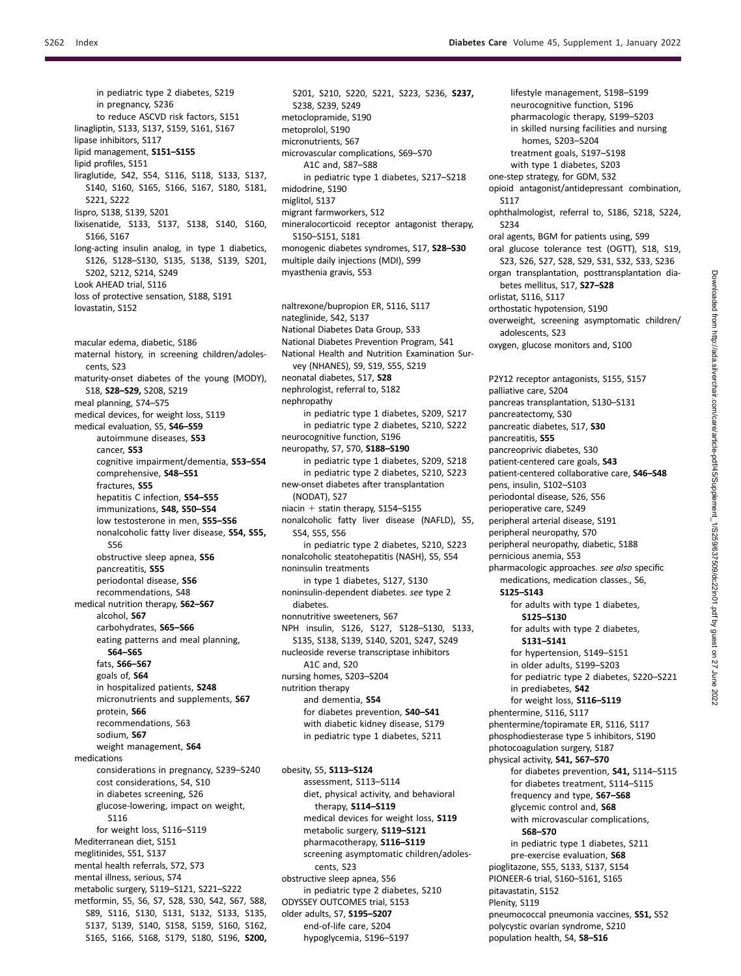in pediatric type 2 diabetes, S219 in pregnancy, S236 to reduce ASCVD risk factors, S151 linagliptin, S133, S137, S159, S161, S167 lipase inhibitors, S117 lipid management, **S151–S155**  lipid profiles, S151 liraglutide, S42, S54, S116, S118, S133, S137, S140, S160, S165, S166, S167, S180, S181, S221, S222 lispro, S138, S139, S201 lixisenatide, S133, S137, S138, S140, S160, S166, S167 long-acting insulin analog, in type 1 diabetics, S126, S128–S130, S135, S138, S139, S201, S202, S212, S214, S249 Look AHEAD trial, S116 loss of protective sensation, S188, S191 lovastatin, S152 macular edema, diabetic, S186 maternal history, in screening children/adolescents, S23 maturity-onset diabetes of the young (MODY), S18, **S28–S29,** S208, S219 meal planning, S74–S75 medical devices, for weight loss, S119 medical evaluation, S5, **S46–S59**  autoimmune diseases, **S53**  cancer, **S53**  cognitive impairment/dementia, **S53–S54**  comprehensive, **S48–S51**  fractures, **S55**  hepatitis C infection, **S54–S55**  immunizations, **S48, S50–S54**  low testosterone in men, **S55–S56**  nonalcoholic fatty liver disease, **S54, S55,**  S56 obstructive sleep apnea, **S56**  pancreatitis, **S55**  periodontal disease, **S56**  recommendations, S48 medical nutrition therapy, **S62–S67**  alcohol, **S67**  carbohydrates, **S65–S66**  eating patterns and meal planning, **S64–S65**  fats, **S66–S67**  goals of, **S64**  in hospitalized patients, **S248**  micronutrients and supplements, **S67**  protein, **S66**  recommendations, S63 sodium, **S67**  weight management, **S64**  medications considerations in pregnancy, S239–S240 cost considerations, S4, S10 in diabetes screening, S26 glucose-lowering, impact on weight, S116 for weight loss, S116–S119 Mediterranean diet, S151 meglitinides, S51, S137 mental health referrals, S72, S73 mental illness, serious, S74 metabolic surgery, S119–S121, S221–S222 metformin, S5, S6, S7, S28, S30, S42, S67, S88, S89, S116, S130, S131, S132, S133, S135, S137, S139, S140, S158, S159, S160, S162,

S165, S166, S168, S179, S180, S196, **S200,** 

S201, S210, S220, S221, S223, S236, **S237,**  S238, S239, S249 metoclopramide, S190 metoprolol, S190 micronutrients, S67 microvascular complications, S69–S70 A1C and, S87–S88 in pediatric type 1 diabetes, S217–S218 midodrine, S190 miglitol, S137 migrant farmworkers, S12 mineralocorticoid receptor antagonist therapy, S150–S151, S181 monogenic diabetes syndromes, S17, **S28–S30**  multiple daily injections (MDI), S99 myasthenia gravis, S53

naltrexone/bupropion ER, S116, S117 nateglinide, S42, S137 National Diabetes Data Group, S33 National Diabetes Prevention Program, S41 National Health and Nutrition Examination Survey (NHANES), S9, S19, S55, S219 neonatal diabetes, S17, **S28**  nephrologist, referral to, S182 nephropathy in pediatric type 1 diabetes, S209, S217 in pediatric type 2 diabetes, S210, S222 neurocognitive function, S196 neuropathy, S7, S70, **S188–S190**  in pediatric type 1 diabetes, S209, S218 in pediatric type 2 diabetes, S210, S223 new-onset diabetes after transplantation (NODAT), S27 niacin  $+$  statin therapy, S154–S155 nonalcoholic fatty liver disease (NAFLD), S5, S54, S55, S56 in pediatric type 2 diabetes, S210, S223 nonalcoholic steatohepatitis (NASH), S5, S54 noninsulin treatments in type 1 diabetes, S127, S130 noninsulin-dependent diabetes. *see* type 2 diabetes. nonnutritive sweeteners, S67 NPH insulin, S126, S127, S128–S130, S133, S135, S138, S139, S140, S201, S247, S249 nucleoside reverse transcriptase inhibitors A1C and, S20 nursing homes, S203–S204 nutrition therapy and dementia, **S54**  for diabetes prevention, **S40–S41**  with diabetic kidney disease, S179 in pediatric type 1 diabetes, S211

obesity, S5, **S113–S124**  assessment, S113–S114 diet, physical activity, and behavioral therapy, **S114–S119**  medical devices for weight loss, **S119**  metabolic surgery, **S119–S121**  pharmacotherapy, **S116–S119**  screening asymptomatic children/adolescents, S23 obstructive sleep apnea, S56 in pediatric type 2 diabetes, S210 ODYSSEY OUTCOMES trial, S153 older adults, S7, **S195–S207**  end-of-life care, S204 hypoglycemia, S196–S197

lifestyle management, S198–S199 neurocognitive function, S196 pharmacologic therapy, S199–S203 in skilled nursing facilities and nursing homes, S203–S204 treatment goals, S197–S198 with type 1 diabetes, S203 one-step strategy, for GDM, S32 opioid antagonist/antidepressant combination, S117 ophthalmologist, referral to, S186, S218, S224, S234 oral agents, BGM for patients using, S99 oral glucose tolerance test (OGTT), S18, S19, S23, S26, S27, S28, S29, S31, S32, S33, S236 organ transplantation, posttransplantation diabetes mellitus, S17, **S27–S28**  orlistat, S116, S117 orthostatic hypotension, S190 overweight, screening asymptomatic children/ adolescents, S23 oxygen, glucose monitors and, S100 P2Y12 receptor antagonists, S155, S157 palliative care, S204 pancreas transplantation, S130–S131 pancreatectomy, S30 pancreatic diabetes, S17, **S30**  pancreatitis, **S55**  pancreoprivic diabetes, S30 patient-centered care goals, **S43**  patient-centered collaborative care, **S46–S48**  pens, insulin, S102–S103 periodontal disease, S26, S56 perioperative care, S249 peripheral arterial disease, S191 peripheral neuropathy, S70 peripheral neuropathy, diabetic, S188 pernicious anemia, S53 pharmacologic approaches. *see also* specific medications, medication classes., S6, **S125–S143**  for adults with type 1 diabetes, **S125–S130**  for adults with type 2 diabetes, **S131–S141**  for hypertension, S149–S151 in older adults, S199–S203 for pediatric type 2 diabetes, S220–S221 in prediabetes, **S42**  for weight loss, **S116–S119**  phentermine, S116, S117 phentermine/topiramate ER, S116, S117 phosphodiesterase type 5 inhibitors, S190 photocoagulation surgery, S187 physical activity, **S41, S67–S70** 

for diabetes prevention, **S41,** S114–S115 for diabetes treatment, S114–S115 frequency and type, **S67–S68**  glycemic control and, **S68**  with microvascular complications, **S68–S70**  in pediatric type 1 diabetes, S211 pre-exercise evaluation, **S68**  pioglitazone, S55, S133, S137, S154 PIONEER-6 trial, S160–S161, S165 pitavastatin, S152 Plenity, S119 pneumococcal pneumonia vaccines, **S51,** S52 polycystic ovarian syndrome, S210 population health, S4, **S8–S16**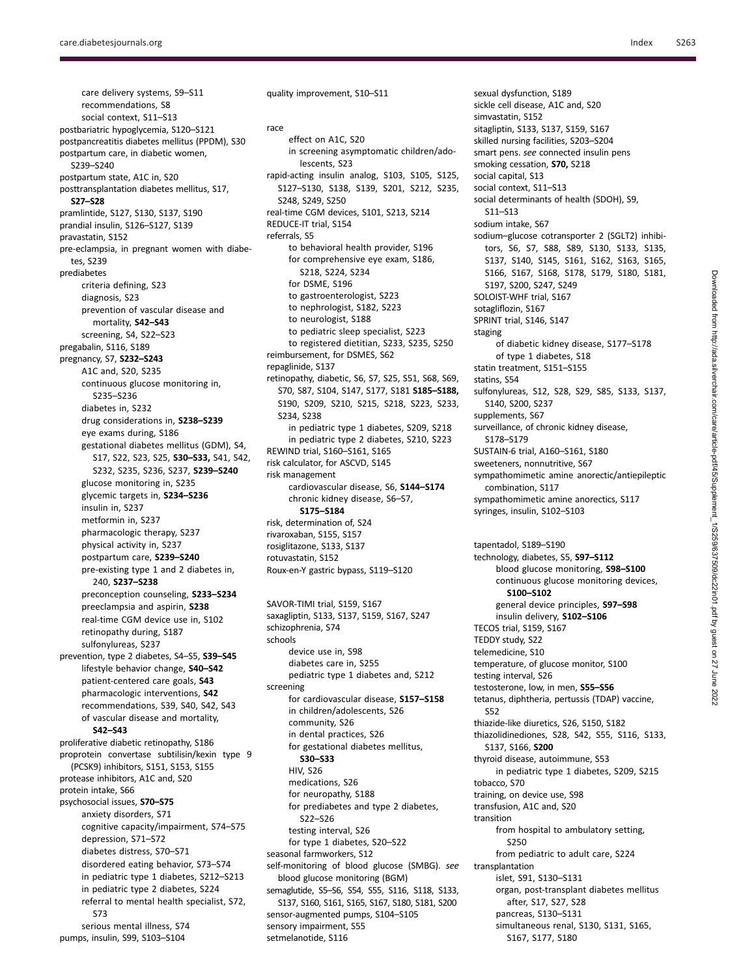care delivery systems, S9–S11 recommendations, S8 social context, S11–S13 postbariatric hypoglycemia, S120–S121 postpancreatitis diabetes mellitus (PPDM), S30 postpartum care, in diabetic women, S239–S240 postpartum state, A1C in, S20 posttransplantation diabetes mellitus, S17, **S27–S28**  pramlintide, S127, S130, S137, S190 prandial insulin, S126–S127, S139 pravastatin, S152 pre-eclampsia, in pregnant women with diabetes, S239 prediabetes criteria defining, S23 diagnosis, S23 prevention of vascular disease and mortality, **S42–S43**  screening, S4, S22–S23 pregabalin, S116, S189 pregnancy, S7, **S232–S243**  A1C and, S20, S235 continuous glucose monitoring in, S235–S236 diabetes in, S232 drug considerations in, **S238–S239**  eye exams during, S186 gestational diabetes mellitus (GDM), S4, S17, S22, S23, S25, **S30–S33,** S41, S42, S232, S235, S236, S237, **S239–S240**  glucose monitoring in, S235 glycemic targets in, **S234–S236**  insulin in, S237 metformin in, S237 pharmacologic therapy, S237 physical activity in, S237 postpartum care, **S239–S240**  pre-existing type 1 and 2 diabetes in, 240, **S237–S238**  preconception counseling, **S233–S234**  preeclampsia and aspirin, **S238**  real-time CGM device use in, S102 retinopathy during, S187 sulfonylureas, S237 prevention, type 2 diabetes, S4–S5, **S39–S45**  lifestyle behavior change, **S40–S42**  patient-centered care goals, **S43**  pharmacologic interventions, **S42**  recommendations, S39, S40, S42, S43 of vascular disease and mortality, **S42–S43**  proliferative diabetic retinopathy, S186 proprotein convertase subtilisin/kexin type 9 (PCSK9) inhibitors, S151, S153, S155 protease inhibitors, A1C and, S20 protein intake, S66 psychosocial issues, **S70–S75**  anxiety disorders, S71 cognitive capacity/impairment, S74–S75 depression, S71–S72 diabetes distress, S70–S71 disordered eating behavior, S73–S74 in pediatric type 1 diabetes, S212–S213 in pediatric type 2 diabetes, S224 referral to mental health specialist, S72, S73

serious mental illness, S74 pumps, insulin, S99, S103–S104

quality improvement, S10–S11 race effect on A1C, S20 in screening asymptomatic children/adolescents, S23 rapid-acting insulin analog, S103, S105, S125, S127–S130, S138, S139, S201, S212, S235, S248, S249, S250 real-time CGM devices, S101, S213, S214 REDUCE-IT trial, S154 referrals, S5 to behavioral health provider, S196 for comprehensive eye exam, S186, S218, S224, S234 for DSME, S196 to gastroenterologist, S223 to nephrologist, S182, S223 to neurologist, S188 to pediatric sleep specialist, S223 to registered dietitian, S233, S235, S250 reimbursement, for DSMES, S62 repaglinide, S137 retinopathy, diabetic, S6, S7, S25, S51, S68, S69, S70, S87, S104, S147, S177, S181 **S185–S188,**  S190, S209, S210, S215, S218, S223, S233, S234, S238 in pediatric type 1 diabetes, S209, S218 in pediatric type 2 diabetes, S210, S223 REWIND trial, S160–S161, S165 risk calculator, for ASCVD, S145 risk management cardiovascular disease, S6, **S144–S174**  chronic kidney disease, S6–S7, **S175–S184**  risk, determination of, S24 rivaroxaban, S155, S157 rosiglitazone, S133, S137 rotuvastatin, S152

SAVOR-TIMI trial, S159, S167 saxagliptin, S133, S137, S159, S167, S247 schizophrenia, S74 schools device use in, S98 diabetes care in, S255 pediatric type 1 diabetes and, S212 screening for cardiovascular disease, **S157–S158**  in children/adolescents, S26 community, S26 in dental practices, S26 for gestational diabetes mellitus, **S30–S33**  HIV, S26 medications, S26 for neuropathy, S188 for prediabetes and type 2 diabetes, S22–S26 testing interval, S26 for type 1 diabetes, S20–S22 seasonal farmworkers, S12 self-monitoring of blood glucose (SMBG). *see*  blood glucose monitoring (BGM) semaglutide, S5–S6, S54, S55, S116, S118, S133, S137, S160, S161, S165, S167, S180, S181, S200 sensor-augmented pumps, S104–S105 sensory impairment, S55 setmelanotide, S116

Roux-en-Y gastric bypass, S119–S120

sickle cell disease, A1C and, S20 simvastatin, S152 sitagliptin, S133, S137, S159, S167 skilled nursing facilities, S203–S204 smart pens. *see* connected insulin pens smoking cessation, **S70,** S218 social capital, S13 social context, S11–S13 social determinants of health (SDOH), S9, S11–S13 sodium intake, S67 sodium–glucose cotransporter 2 (SGLT2) inhibitors, S6, S7, S88, S89, S130, S133, S135, S137, S140, S145, S161, S162, S163, S165, S166, S167, S168, S178, S179, S180, S181, S197, S200, S247, S249 SOLOIST-WHF trial, S167 sotagliflozin, S167 SPRINT trial, S146, S147 staging of diabetic kidney disease, S177–S178 of type 1 diabetes, S18 statin treatment, S151–S155 statins, S54 sulfonylureas, S12, S28, S29, S85, S133, S137, S140, S200, S237 supplements, S67 surveillance, of chronic kidney disease, S178–S179 SUSTAIN-6 trial, A160–S161, S180 sweeteners, nonnutritive, S67 sympathomimetic amine anorectic/antiepileptic combination, S117 sympathomimetic amine anorectics, S117 syringes, insulin, S102–S103

sexual dysfunction, S189

tapentadol, S189–S190

**S100–S102** 

TECOS trial, S159, S167 TEDDY study, S22 telemedicine, S10

testing interval, S26

S137, S166, **S200** 

S250

transplantation

S52

tobacco, S70

transition

technology, diabetes, S5, **S97–S112** 

temperature, of glucose monitor, S100

thiazide-like diuretics, S26, S150, S182 thiazolidinediones, S28, S42, S55, S116, S133,

in pediatric type 1 diabetes, S209, S215

from hospital to ambulatory setting,

from pediatric to adult care, S224

organ, post-transplant diabetes mellitus

simultaneous renal, S130, S131, S165,

thyroid disease, autoimmune, S53

training, on device use, S98 transfusion, A1C and, S20

islet, S91, S130–S131

after, S17, S27, S28 pancreas, S130–S131

S167, S177, S180

testosterone, low, in men, **S55–S56**  tetanus, diphtheria, pertussis (TDAP) vaccine,

blood glucose monitoring, **S98–S100**  continuous glucose monitoring devices,

general device principles, **S97–S98**  insulin delivery, **S102–S106**